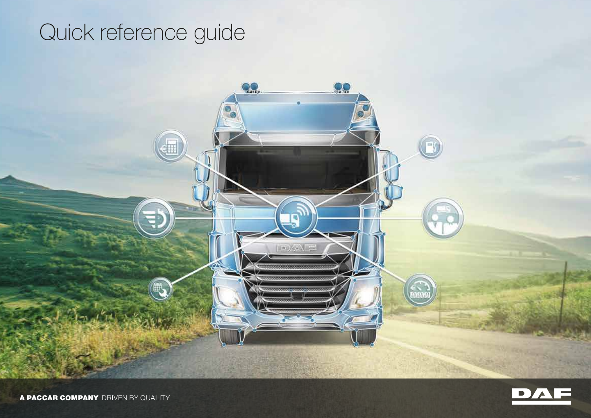# Quick reference guide

**QQ** 

**EDUCATION** 

99



A PACCAR COMPANY DRIVEN BY QUALITY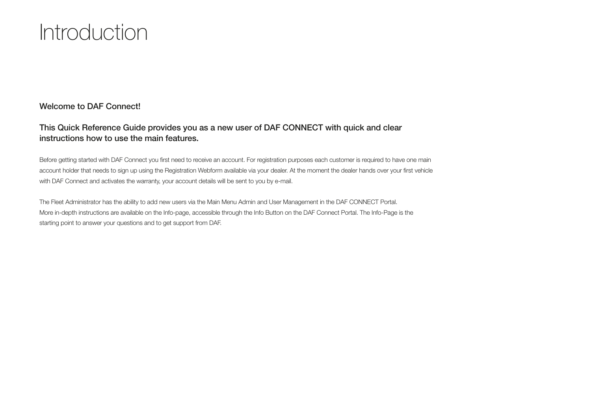# Introduction

### Welcome to DAF Connect!

### This Quick Reference Guide provides you as a new user of DAF CONNECT with quick and clear instructions how to use the main features.

Before getting started with DAF Connect you first need to receive an account. For registration purposes each customer is required to have one main account holder that needs to sign up using the Registration Webform available via your dealer. At the moment the dealer hands over your first vehicle with DAF Connect and activates the warranty, your account details will be sent to you by e-mail.

The Fleet Administrator has the ability to add new users via the Main Menu Admin and User Management in the DAF CONNECT Portal. More in-depth instructions are available on the Info-page, accessible through the Info Button on the DAF Connect Portal. The Info-Page is the starting point to answer your questions and to get support from DAF.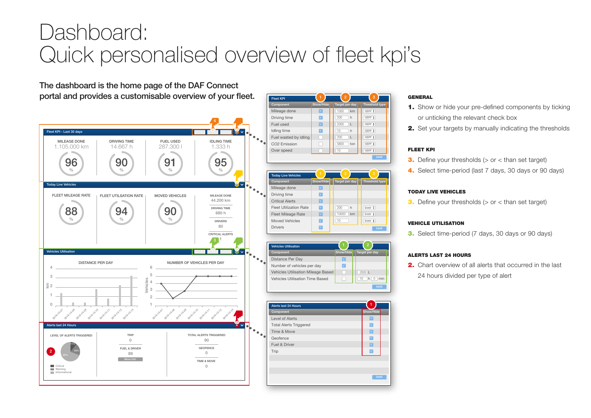# Dashboard: Quick personalised overview of fleet kpi's



#### **GENERAL**

upper  $\frac{1}{\mathbf{v}}$ upper # upper \* upper  $\frac{1}{v}$  $\boxed{\text{upper } \frac{1}{2}}$ upper : upper $\frac{1}{r}$ 

 $S$  AVE

**SAVE** 

**M M M** � **M M** 

1

**SAVE** 

2000 L 10 h 0 min

2

lower  $\frac{1}{r}$ lower  $\frac{1}{r}$ lower

- 1. Show or hide your pre-defined components by ticking or unticking the relevant check box
- 2. Set your targets by manually indicating the thresholds

#### FLEET KPI

- **3.** Define your thresholds  $(>$  or  $<$  than set target)
- 4. Select time-period (last 7 days, 30 days or 90 days)

#### TODAY LIVE VEHICLES

**3.** Define your thresholds  $(>$  or  $<$  than set target)

#### VEHICLE UTILISATION

3. Select time-period (7 days, 30 days or 90 days)

#### ALERTS LAST 24 HOURS

2. Chart overview of all alerts that occurred in the last 24 hours divided per type of alert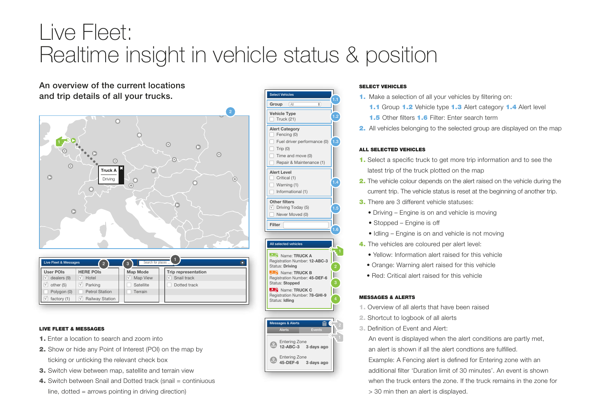# Live Fleet: Realtime insight in vehicle status & position

An overview of the current locations and trip details of all your trucks.



| Live Fleet & Messages<br>Search for places<br>$\overline{3}$<br>$\overline{2}$ |                              |  |                 |  |                            |  |  |
|--------------------------------------------------------------------------------|------------------------------|--|-----------------|--|----------------------------|--|--|
| User POIs                                                                      | <b>HERE POIS</b>             |  | <b>Map Mode</b> |  | <b>Trip representation</b> |  |  |
| dealers (9)<br>$\sqrt{}$                                                       | Hotel<br>$\sqrt{}$           |  | Map View<br>ν   |  | Snail track<br>V           |  |  |
| other (5)<br>$\sqrt{ }$                                                        | Parking<br>$\sqrt{}$         |  | Satellite       |  | Dotted track               |  |  |
| Polygon (0)                                                                    | <b>Petrol Station</b>        |  | Terrain         |  |                            |  |  |
| factory (1)                                                                    | Railway Station<br>$\sqrt{}$ |  |                 |  |                            |  |  |

#### LIVE FLEET & MESSAGES

- 1. Enter a location to search and zoom into
- 2. Show or hide any Point of Interest (POI) on the map by ticking or unticking the relevant check box
- 3. Switch view between map, satellite and terrain view
- 4. Switch between Snail and Dotted track (snail = continiuous  $line$ , dotted = arrows pointing in driving direction)



Entering Zone 12-ABC-3 3 days ago

Entering Zone 45-DEF-6 3 days ago

### SELECT VEHICLES

- 1. Make a selection of all your vehicles by filtering on:
- 1.1 Group 1.2 Vehicle type 1.3 Alert category 1.4 Alert level
- 1.5 Other filters 1.6 Filter: Enter search term
- 2. All vehicles belonging to the selected group are displayed on the map

#### ALL SELECTED VEHICLES

- 1. Select a specific truck to get more trip information and to see the latest trip of the truck plotted on the map
- 2. The vehicle colour depends on the alert raised on the vehicle during the current trip. The vehicle status is reset at the beginning of another trip.
- 3. There are 3 different vehicle statuses:
	- Driving Engine is on and vehicle is moving
	- Stopped Engine is off
	- Idling Engine is on and vehicle is not moving
- 4. The vehicles are coloured per alert level:
	- Yellow: Information alert raised for this vehicle
	- Orange: Warning alert raised for this vehicle
- Red: Critical alert raised for this vehicle

#### MESSAGES & ALERTS

- 1. Overview of all alerts that have been raised
- 2. Shortcut to logbook of all alerts
- 3. Definition of Event and Alert:

 An event is displayed when the alert conditions are partly met, an alert is shown if all the alert condtions are fulfilled.

 Example: A Fencing alert is defined for Entering zone with an additional filter 'Duration limit of 30 minutes'. An event is shown when the truck enters the zone. If the truck remains in the zone for > 30 min then an alert is displayed.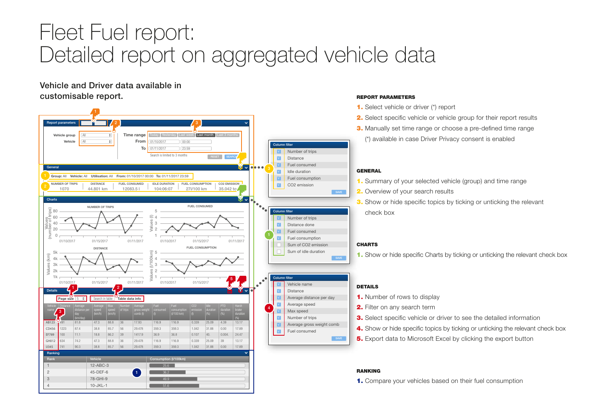# Fleet Fuel report: Detailed report on aggregated vehicle data

Vehicle and Driver data available in customisable report. The process of the property of the property  $R$  and  $R$  are port parameters

> 44.801 km **DISTANCE**

NUMBER OF TRIPS

01/10/2017 01/15/2017 01/11/2017

DISTANCE

12083.5 l FUEL CONSUMED

Time range From To

Group: All Vehicle: All Utilisation: All From: 01/10/2017 00:00 To: 01/11/2017 23:59

Vehicle **Consumption (I/100km)** 

gross weight comb (t)

17.93 29.478 1417.9 29.478 29.478

 $\left( -1\right)$ 

25.6 36.2 49.9 51.6

27l/100 km FUEL CONSUMPTION

FUEL CONSUMED

01/10/2017 01/15/2017 01/11/2017

FUEL CONSUMPTION

01/10/2017 01/15/2017

consumption<br>(l/100 km)

0.339 1.042 0.107 0.339 1.042 25.09 31.88 40. 25.09 31.88 4.39 0.00 0.004. 39  $0.00$ 

116.9 359.3 36.8 116.9 359.3

00:00  $|23:59$ 

Today Yesterday Last week Last month Last 3 months

104:06:07 IDLE DURATION

Values (1/00km)<br>
Values 1<br>
1 4 3 2 1

> 116.9 359.3 36.9 116.9 359.3

Search is limited to 3 months

2  $\sqrt{3}$ 

01/10/2017 11/11/2017

> $35.042$  to CO<sub>2</sub> EMISSION

> > duration

13.17 17.89 24.47 13.17 17.89

5

RESET SEARCH

12-ABC-3 45-DEF-6 78-GHI-9 10-JKL-1

 $\frac{1}{2}$  2

**Page size**  $\boxed{5 \div 6}$  Search in table Table data info

(km/h)

47.3 38.8 18.8 47.3 38.8

88.8 85.7 86.2 88.8 85.7

01/10/2017 01/15/2017 01/11/2017

Ranking

Details

AB123 CD456 EF789 GH012 IJ345

 $3<sup>-1</sup>$ 

Average (km/day)

81.9 87.4 11.1 74.2  $90.3$ 

Report parameters

Vehicle group

Vehicle

All

All

General

**Charts** 

 $200$ 8÷

Values (km) Values (number of trips) 80

Ĕ

5k 4k 3k 2k 1k

1070 NUMBER OF TRIPS

- 1. Select vehicle or driver (\*) report
- 2. Select specific vehicle or vehicle group for their report results
- **3.** Manually set time range or choose a pre-defined time range (\*) available in case Driver Privacy consent is enabled

#### GENERAL

SAVE

Number of trips Distance Fuel consumed Idle duration Fuel consumption CO2 emission

Number of trips Distance done Fuel consumed Fuel consumption Sum of CO2 emission Sum of idle duration

**M** Average distance per day **COMPONENT Average speed** 

Vehicle name Distance

Max speed Number of trips Average gross weight comb Fuel consumed

Column filter

� **V** 

� � **M** 

Column filter � �

Column filter �

� 4

- 1. Summary of your selected vehicle (group) and time range
- 2. Overview of your search results
- **3.** Show or hide specific topics by ticking or unticking the relevant check box

#### **CHARTS**

1. Show or hide specific Charts by ticking or unticking the relevant check box

#### DETAILS

- 1. Number of rows to display
- 2. Filter on any search term
- **3.** Select specific vehicle or driver to see the detailed information
- 4. Show or hide specific topics by ticking or unticking the relevant check box
- **5.** Export data to Microsoft Excel by clicking the export button

#### RANKING

1. Compare your vehicles based on their fuel consumption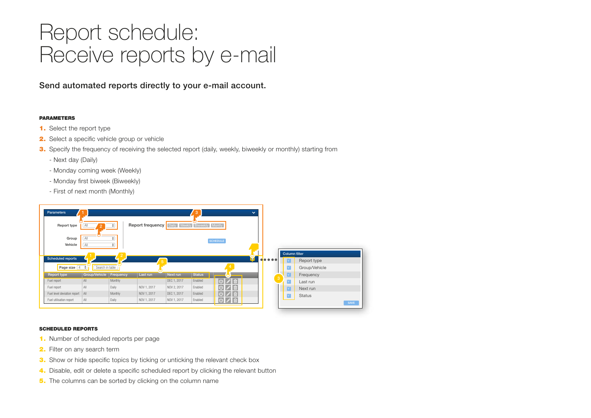# Report schedule: Receive reports by e-mail

Send automated reports directly to your e-mail account.

#### PARAMETERS

- 1. Select the report type
- 2. Select a specific vehicle group or vehicle
- **3.** Specify the frequency of receiving the selected report (daily, weekly, biweekly or monthly) starting from
	- Next day (Daily)
	- Monday coming week (Weekly)
	- Monday first biweek (Biweekly)
	- First of next month (Monthly)



#### SCHEDULED REPORTS

- 1. Number of scheduled reports per page
- 2. Filter on any search term
- **3.** Show or hide specific topics by ticking or unticking the relevant check box
- 4. Disable, edit or delete a specific scheduled report by clicking the relevant button
- 5. The columns can be sorted by clicking on the column name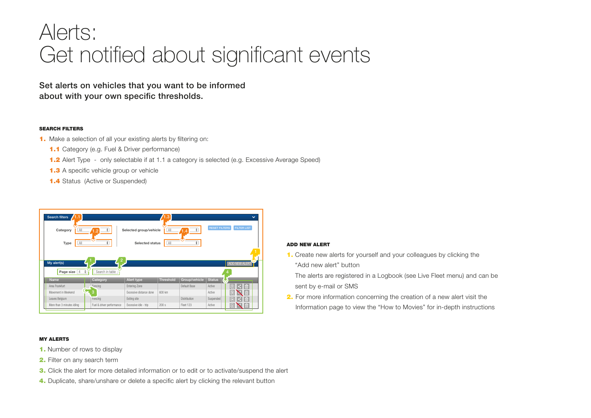## Alerts: Get notified about significant events

Set alerts on vehicles that you want to be informed about with your own specific thresholds.

#### SEARCH FILTERS

- 1. Make a selection of all your existing alerts by filtering on:
	- 1.1 Category (e.g. Fuel & Driver performance)
	- 1.2 Alert Type only selectable if at 1.1 a category is selected (e.g. Excessive Average Speed)
	- 1.3 A specific vehicle group or vehicle
	- **1.4** Status (Active or Suspended)

| 1.1<br>Search filters<br>All<br>Category<br>Type<br>All | ÷<br>1.2<br>÷             | Selected group/vehicle<br><b>Selected status</b> | 1.3<br>All<br>All | ÷<br>.4<br>٨.<br>۰. | $\checkmark$<br><b>FILTER LIST</b><br><b>RESET FILTERS</b> |
|---------------------------------------------------------|---------------------------|--------------------------------------------------|-------------------|---------------------|------------------------------------------------------------|
| My alert(s)<br>Page size 4<br>$\ddot{\bullet}$          | Search in table           |                                                  |                   |                     | ADD NEW ALERT                                              |
| Name                                                    | Category                  | Alert type                                       | <b>Threshold</b>  | Group/vehicle       | <b>Status</b><br>ο                                         |
| Area Frankfurt                                          | Fencing                   | <b>Entering Zone</b>                             |                   | Default Base        | 面<br>Ē<br>Active<br>×.                                     |
| Movement in Weekend                                     | з                         | Excessive distance done                          | 600 km            |                     | 面<br>Ē<br>Active                                           |
| Leaves Belgium                                          | Fencing                   | Exiting site                                     |                   | <b>Distribution</b> | 俞<br>Ē<br>Suspended                                        |
| More than 3 minutes idling                              | Fuel & driver performance | Excessive idle - trip                            | 200 s             | Fleet 123           | 面<br>Active<br>凬                                           |

#### MY ALERTS

- 1. Number of rows to display
- 2. Filter on any search term
- 3. Click the alert for more detailed information or to edit or to activate/suspend the alert
- 4. Duplicate, share/unshare or delete a specific alert by clicking the relevant button

#### ADD NEW ALERT

- 1. Create new alerts for yourself and your colleagues by clicking the "Add new alert" button
	- The alerts are registered in a Logbook (see Live Fleet menu) and can be sent by e-mail or SMS
- **2.** For more information concerning the creation of a new alert visit the Information page to view the "How to Movies" for in-depth instructions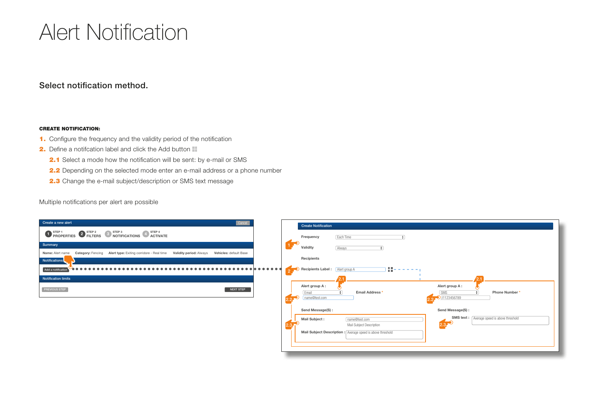# Alert Notification

### Select notification method.

#### CREATE NOTIFICATION:

- 1. Configure the frequency and the validity period of the notification
- 2. Define a notifcation label and click the Add button
	- 2.1 Select a mode how the notification will be sent: by e-mail or SMS
	- 2.2 Depending on the selected mode enter an e-mail address or a phone number
	- 2.3 Change the e-mail subject/description or SMS text message

Multiple notifications per alert are possible

| Create a new alert<br>Cancel                                                                                                      | <b>Create Notification</b>                                                                                                                                                                     |
|-----------------------------------------------------------------------------------------------------------------------------------|------------------------------------------------------------------------------------------------------------------------------------------------------------------------------------------------|
| <b>O</b> STEP 1 PROPERTIES <b>O</b> STEP 2 NOTIFICATIONS <b>4</b> STEP 4 ACTIVATE                                                 | Frequency<br>Each Time                                                                                                                                                                         |
| Summary                                                                                                                           | 1 <sup>o</sup><br>Validity<br>Always                                                                                                                                                           |
| Category: Fencing Alert type: Exiting corridore - Real time Validity period: Always<br>Vehicles: default Base<br>Name: Alert name |                                                                                                                                                                                                |
| Notifications                                                                                                                     | Recipients                                                                                                                                                                                     |
| . <b>.</b> .<br>.<br>Add a notification                                                                                           | SB)<br>2 D Recipients Label : Alert group A                                                                                                                                                    |
| <b>Notification limits</b>                                                                                                        |                                                                                                                                                                                                |
| <b>PREVIOUS STEP</b><br>NEXT STEP                                                                                                 | Alert group A:<br>Alert group A:<br>Email Address <sup>*</sup><br>Phone Number*<br>SMS<br>Email<br>2.2, 31123456789<br>22<br>name@test.com                                                     |
|                                                                                                                                   | Send Message(S):<br>Send Message(S):                                                                                                                                                           |
|                                                                                                                                   | SMS text:<br>Average speed is above threshold<br>Mail Subject:<br>name@test.com<br>2.3 <sup>2</sup><br>Mail Subject Description<br>Mail Subject Description : Average speed is above threshold |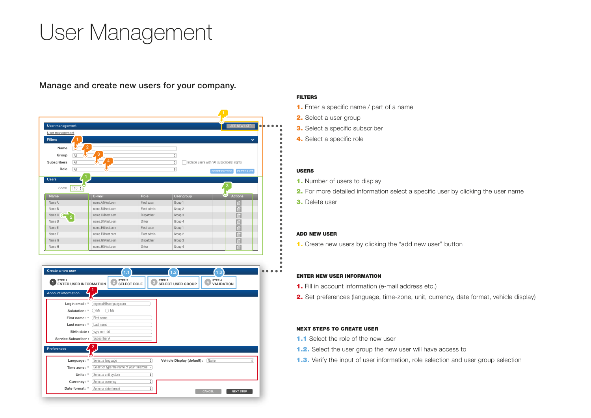# User Management

Manage and create new users for your company.

| User management           |                 |             |            | ADD NEW USER                                |
|---------------------------|-----------------|-------------|------------|---------------------------------------------|
| User management           |                 |             |            |                                             |
| <b>Filters</b>            |                 |             |            | $\checkmark$                                |
| Name                      | $\overline{2}$  |             |            |                                             |
|                           | 3               |             |            |                                             |
| All<br>Group              | 4               |             | ÷          |                                             |
| <b>Subscribers</b><br>All |                 |             | ÷          | Include users with 'All subscribers' rights |
| All<br>Role               |                 |             | ÷          | <b>FILTER LIST</b><br><b>RESET FILTERS</b>  |
| <b>Users</b><br>Show      |                 |             |            | 3                                           |
| $10 \div$<br>Name         | E-mail          | Role        | User group | <b>Actions</b>                              |
| Name A                    | name.A@test.com | Fleet exec  | Group 1    | 面                                           |
| Name B                    | name.B@test.com | Fleet admin | Group 2    | 面                                           |
| Name C <b>G</b>           | name.C@test.com | Dispatcher  | Group 3    | für                                         |
| Name D                    | name.D@test.com | Driver      | Group 4    | Ō                                           |
| Name F                    | name.F@test.com | Fleet exec  | Group 1    | Ō                                           |
| Name F                    | name.F@test.com | Fleet admin | Group 2    | Ō                                           |
| Name G                    | name.G@test.com | Dispatcher  | Group 3    | 茴<br>面                                      |

| Create a new user                                  | (1.1)                                              |   | (1.2                                          | (1.3                        |   |
|----------------------------------------------------|----------------------------------------------------|---|-----------------------------------------------|-----------------------------|---|
| STEP <sub>1</sub><br><b>ENTER USER INFORMATION</b> | STEP <sub>2</sub><br><b>SELECT ROLE</b>            |   | STEP <sub>3</sub><br><b>SELECT USER GROUP</b> | STEP 4<br><b>VALIDATION</b> |   |
| <b>Account information</b>                         |                                                    |   |                                               |                             |   |
| Login email: *                                     | myemail@company.com                                |   |                                               |                             |   |
|                                                    | <b>Salutation:</b> $*$ $\bigcirc$ Mr $\bigcirc$ Ms |   |                                               |                             |   |
| First name: *                                      | First name                                         |   |                                               |                             |   |
| Last name: *                                       | Last name                                          |   |                                               |                             |   |
| Birth date:                                        | wyv-mm-dd                                          |   |                                               |                             |   |
| Service Subscriber :                               | Subscriber A                                       |   |                                               |                             |   |
| <b>Preferences</b>                                 | 2                                                  |   |                                               |                             |   |
|                                                    |                                                    |   |                                               |                             |   |
| Language:*                                         | Select a language                                  | ٠ | Vehicle Display (default) :                   | Name                        | ٠ |
| Time zone:*                                        | Select or type the name of your timezone v         |   |                                               |                             |   |
| Units:*                                            | Select a unit system                               | ÷ |                                               |                             |   |
| Currency: *                                        | Select a currency                                  | ÷ |                                               |                             |   |
|                                                    | Date format: *<br>Select a date format             | ÷ |                                               |                             |   |

#### FILTERS

- 1. Enter a specific name / part of a name
- 2. Select a user group
- 3. Select a specific subscriber
- 4. Select a specific role

#### USERS

 $\bullet$  $^{\circ}$ 

- 1. Number of users to display
- **2.** For more detailed information select a specific user by clicking the user name
- 3. Delete user

#### ADD NEW USER

1. Create new users by clicking the "add new user" button

#### ENTER NEW USER INFORMATION

- 1. Fill in account information (e-mail address etc.)
- 2. Set preferences (language, time-zone, unit, currency, date format, vehicle display)

#### NEXT STEPS TO CREATE USER

- 1.1 Select the role of the new user
- 1.2. Select the user group the new user will have access to
- **1.3.** Verify the input of user information, role selection and user group selection